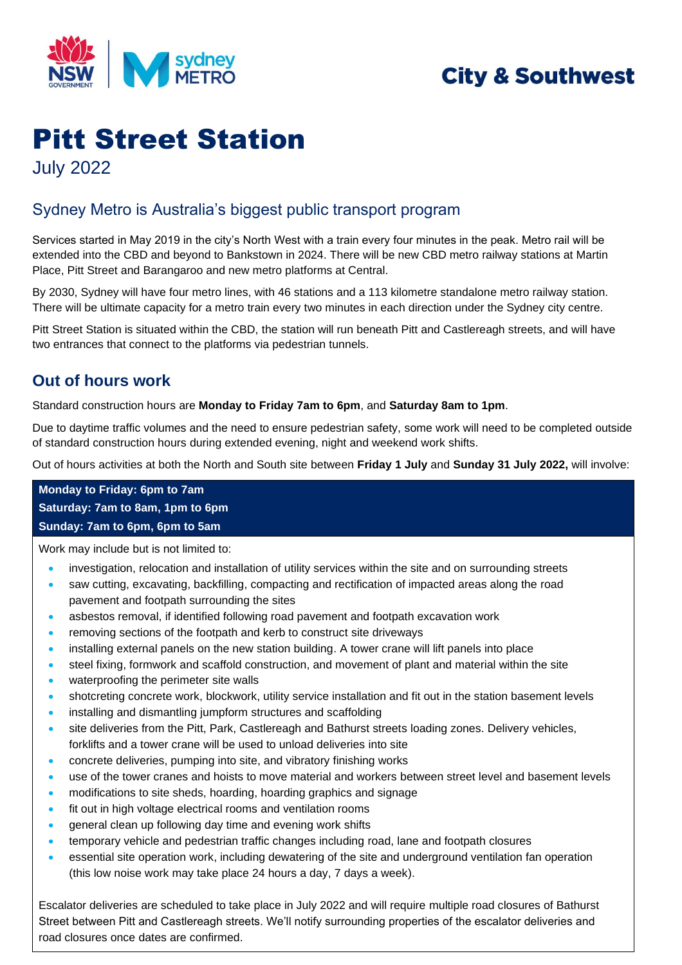

# **City & Southwest**

# Pitt Street Station July 2022

## Sydney Metro is Australia's biggest public transport program

Services started in May 2019 in the city's North West with a train every four minutes in the peak. Metro rail will be extended into the CBD and beyond to Bankstown in 2024. There will be new CBD metro railway stations at Martin Place, Pitt Street and Barangaroo and new metro platforms at Central.

By 2030, Sydney will have four metro lines, with 46 stations and a 113 kilometre standalone metro railway station. There will be ultimate capacity for a metro train every two minutes in each direction under the Sydney city centre.

Pitt Street Station is situated within the CBD, the station will run beneath Pitt and Castlereagh streets, and will have two entrances that connect to the platforms via pedestrian tunnels.

## **Out of hours work**

Standard construction hours are **Monday to Friday 7am to 6pm**, and **Saturday 8am to 1pm**.

Due to daytime traffic volumes and the need to ensure pedestrian safety, some work will need to be completed outside of standard construction hours during extended evening, night and weekend work shifts.

Out of hours activities at both the North and South site between **Friday 1 July** and **Sunday 31 July 2022,** will involve:

**Monday to Friday: 6pm to 7am Saturday: 7am to 8am, 1pm to 6pm Sunday: 7am to 6pm, 6pm to 5am**

Work may include but is not limited to:

- investigation, relocation and installation of utility services within the site and on surrounding streets
- saw cutting, excavating, backfilling, compacting and rectification of impacted areas along the road pavement and footpath surrounding the sites
- asbestos removal, if identified following road pavement and footpath excavation work
- removing sections of the footpath and kerb to construct site driveways
- installing external panels on the new station building. A tower crane will lift panels into place
- steel fixing, formwork and scaffold construction, and movement of plant and material within the site
- waterproofing the perimeter site walls
- shotcreting concrete work, blockwork, utility service installation and fit out in the station basement levels
- installing and dismantling jumpform structures and scaffolding
- site deliveries from the Pitt, Park, Castlereagh and Bathurst streets loading zones. Delivery vehicles, forklifts and a tower crane will be used to unload deliveries into site
- concrete deliveries, pumping into site, and vibratory finishing works
- use of the tower cranes and hoists to move material and workers between street level and basement levels
- modifications to site sheds, hoarding, hoarding graphics and signage
- fit out in high voltage electrical rooms and ventilation rooms
- general clean up following day time and evening work shifts
- temporary vehicle and pedestrian traffic changes including road, lane and footpath closures
- essential site operation work, including dewatering of the site and underground ventilation fan operation (this low noise work may take place 24 hours a day, 7 days a week).

Escalator deliveries are scheduled to take place in July 2022 and will require multiple road closures of Bathurst Street between Pitt and Castlereagh streets. We'll notify surrounding properties of the escalator deliveries and road closures once dates are confirmed.